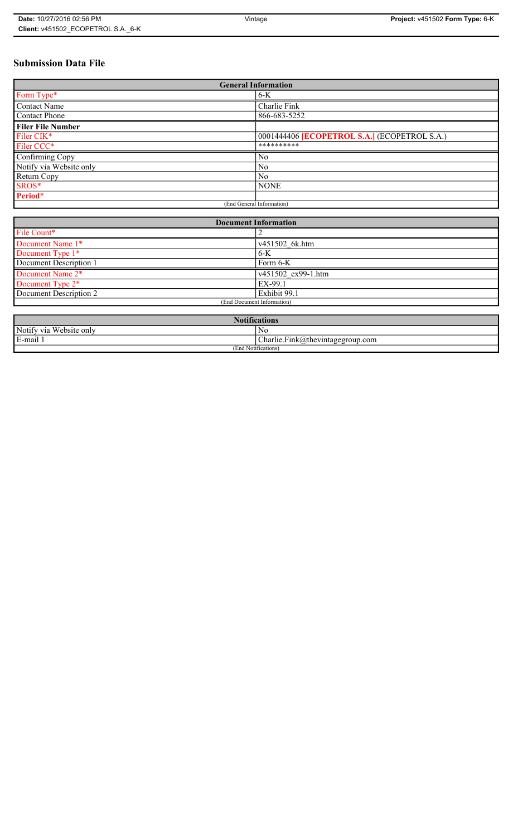# **Submission Data File**

| <b>General Information</b> |                                                   |  |
|----------------------------|---------------------------------------------------|--|
| Form Type*                 | $6-K$                                             |  |
| Contact Name               | Charlie Fink                                      |  |
| Contact Phone              | 866-683-5252                                      |  |
| <b>Filer File Number</b>   |                                                   |  |
| Filer CIK*                 | 0001444406 <b>ECOPETROL S.A.</b> (ECOPETROL S.A.) |  |
| Filer CCC*                 | **********                                        |  |
| Confirming Copy            | N <sub>0</sub>                                    |  |
| Notify via Website only    | N <sub>0</sub>                                    |  |
| Return Copy                | N <sub>0</sub>                                    |  |
| SROS*                      | <b>NONE</b>                                       |  |
| Period*                    |                                                   |  |
| (End General Information)  |                                                   |  |

| <b>Document Information</b>  |                    |  |
|------------------------------|--------------------|--|
| File Count*                  |                    |  |
| Document Name 1*             | v451502 6k.htm     |  |
| Document Type 1*             | $6-K$              |  |
| Document Description 1       | Form 6-K           |  |
| Document Name 2*             | v451502 ex99-1.htm |  |
| Document Type 2 <sup>*</sup> | EX-99.1            |  |
| Document Description 2       | Exhibit 99.1       |  |
| (End Document Information)   |                    |  |
|                              |                    |  |

| <b>Notifications</b>    |                                  |  |
|-------------------------|----------------------------------|--|
| Notify via Website only | N0                               |  |
| E-mail 1                | Charlie.Fink@thevintagegroup.com |  |
| (End Notifications)     |                                  |  |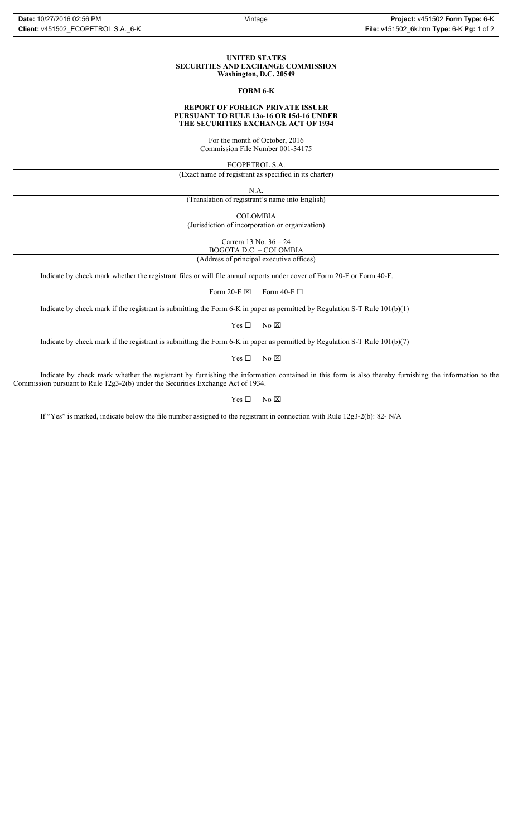### **UNITED STATES SECURITIES AND EXCHANGE COMMISSION Washington, D.C. 20549**

### **FORM 6-K**

### **REPORT OF FOREIGN PRIVATE ISSUER PURSUANT TO RULE 13a-16 OR 15d-16 UNDER THE SECURITIES EXCHANGE ACT OF 1934**

For the month of October, 2016 Commission File Number 001-34175

ECOPETROL S.A.

(Exact name of registrant as specified in its charter)

N.A.

(Translation of registrant's name into English)

COLOMBIA

(Jurisdiction of incorporation or organization)

Carrera 13 No. 36 – 24

BOGOTA D.C. – COLOMBIA (Address of principal executive offices)

Indicate by check mark whether the registrant files or will file annual reports under cover of Form 20-F or Form 40-F.

Form 20-F  $\boxtimes$  Form 40-F  $\Box$ 

Indicate by check mark if the registrant is submitting the Form 6-K in paper as permitted by Regulation S-T Rule 101(b)(1)

 $Yes \Box$  No  $\boxtimes$ 

Indicate by check mark if the registrant is submitting the Form 6-K in paper as permitted by Regulation S-T Rule 101(b)(7)

 $Yes \Box$  No  $\boxtimes$ 

Indicate by check mark whether the registrant by furnishing the information contained in this form is also thereby furnishing the information to the Commission pursuant to Rule 12g3-2(b) under the Securities Exchange Act of 1934.

 $Yes \Box$  No  $\boxtimes$ 

If "Yes" is marked, indicate below the file number assigned to the registrant in connection with Rule 12g3-2(b): 82- N/A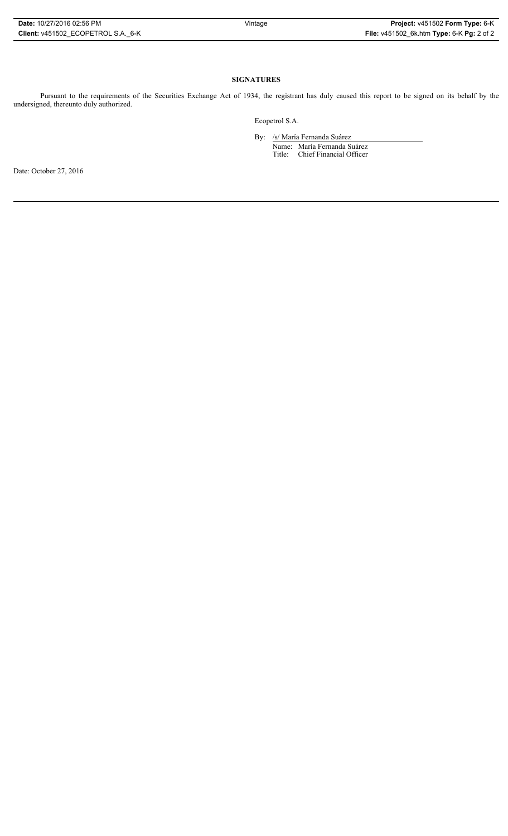## **SIGNATURES**

Pursuant to the requirements of the Securities Exchange Act of 1934, the registrant has duly caused this report to be signed on its behalf by the undersigned, thereunto duly authorized.

Ecopetrol S.A.

By: /s/ María Fernanda Suárez Name: María Fernanda Suárez Title: Chief Financial Officer

Date: October 27, 2016